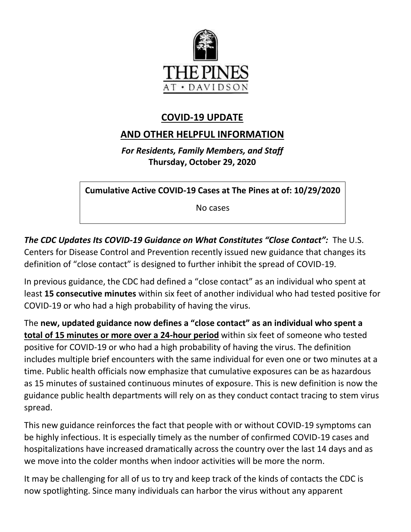

# **COVID-19 UPDATE**

# **AND OTHER HELPFUL INFORMATION**

*For Residents, Family Members, and Staff* **Thursday, October 29, 2020**

**Cumulative Active COVID-19 Cases at The Pines at of: 10/29/2020**

No cases

*The CDC Updates Its COVID-19 Guidance on What Constitutes "Close Contact":* The U.S. Centers for Disease Control and Prevention recently issued new guidance that changes its definition of "close contact" is designed to further inhibit the spread of COVID-19.

In previous guidance, the CDC had defined a "close contact" as an individual who spent at least **15 consecutive minutes** within six feet of another individual who had tested positive for COVID-19 or who had a high probability of having the virus.

The **new, updated guidance now defines a "close contact" as an individual who spent a total of 15 minutes or more over a 24-hour period** within six feet of someone who tested positive for COVID-19 or who had a high probability of having the virus. The definition includes multiple brief encounters with the same individual for even one or two minutes at a time. Public health officials now emphasize that cumulative exposures can be as hazardous as 15 minutes of sustained continuous minutes of exposure. This is new definition is now the guidance public health departments will rely on as they conduct contact tracing to stem virus spread.

This new guidance reinforces the fact that people with or without COVID-19 symptoms can be highly infectious. It is especially timely as the number of confirmed COVID-19 cases and hospitalizations have increased dramatically across the country over the last 14 days and as we move into the colder months when indoor activities will be more the norm.

It may be challenging for all of us to try and keep track of the kinds of contacts the CDC is now spotlighting. Since many individuals can harbor the virus without any apparent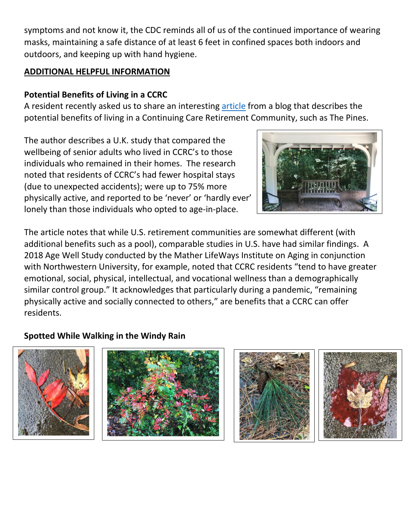symptoms and not know it, the CDC reminds all of us of the continued importance of wearing masks, maintaining a safe distance of at least 6 feet in confined spaces both indoors and outdoors, and keeping up with hand hygiene.

### **ADDITIONAL HELPFUL INFORMATION**

# **Potential Benefits of Living in a CCRC**

A resident recently asked us to share an interesting [article](https://www.mylifesite.net/blog/post/another-study-finds-potential-health-benefits-to-living-in-a-ccrc/?utm_medium=email&_hsmi=98343412&_hsenc=p2ANqtz--1-NCYV5JyUCzl2vfbnY96CO-OW3TqDeH3Q_NWkrNEKxLf6cm20JVFAJ0Q0r8CGmkxt2Hhh5c5RdekF3NHXNGCPzpzd9DGP3oPpouesjjKX3SmJU8&utm_content=98343412&utm_source=hs_email) from a blog that describes the potential benefits of living in a Continuing Care Retirement Community, such as The Pines.

The author describes a U.K. study that compared the wellbeing of senior adults who lived in CCRC's to those individuals who remained in their homes. The research noted that residents of CCRC's had fewer hospital stays (due to unexpected accidents); were up to 75% more physically active, and reported to be 'never' or 'hardly ever' lonely than those individuals who opted to age-in-place.



The article notes that while U.S. retirement communities are somewhat different (with additional benefits such as a pool), comparable studies in U.S. have had similar findings. A 2018 Age Well Study conducted by the Mather LifeWays Institute on Aging in conjunction with Northwestern University, for example, noted that CCRC residents "tend to have greater emotional, social, physical, intellectual, and vocational wellness than a demographically similar control group." It acknowledges that particularly during a pandemic, "remaining physically active and socially connected to others," are benefits that a CCRC can offer residents.

### **Spotted While Walking in the Windy Rain**